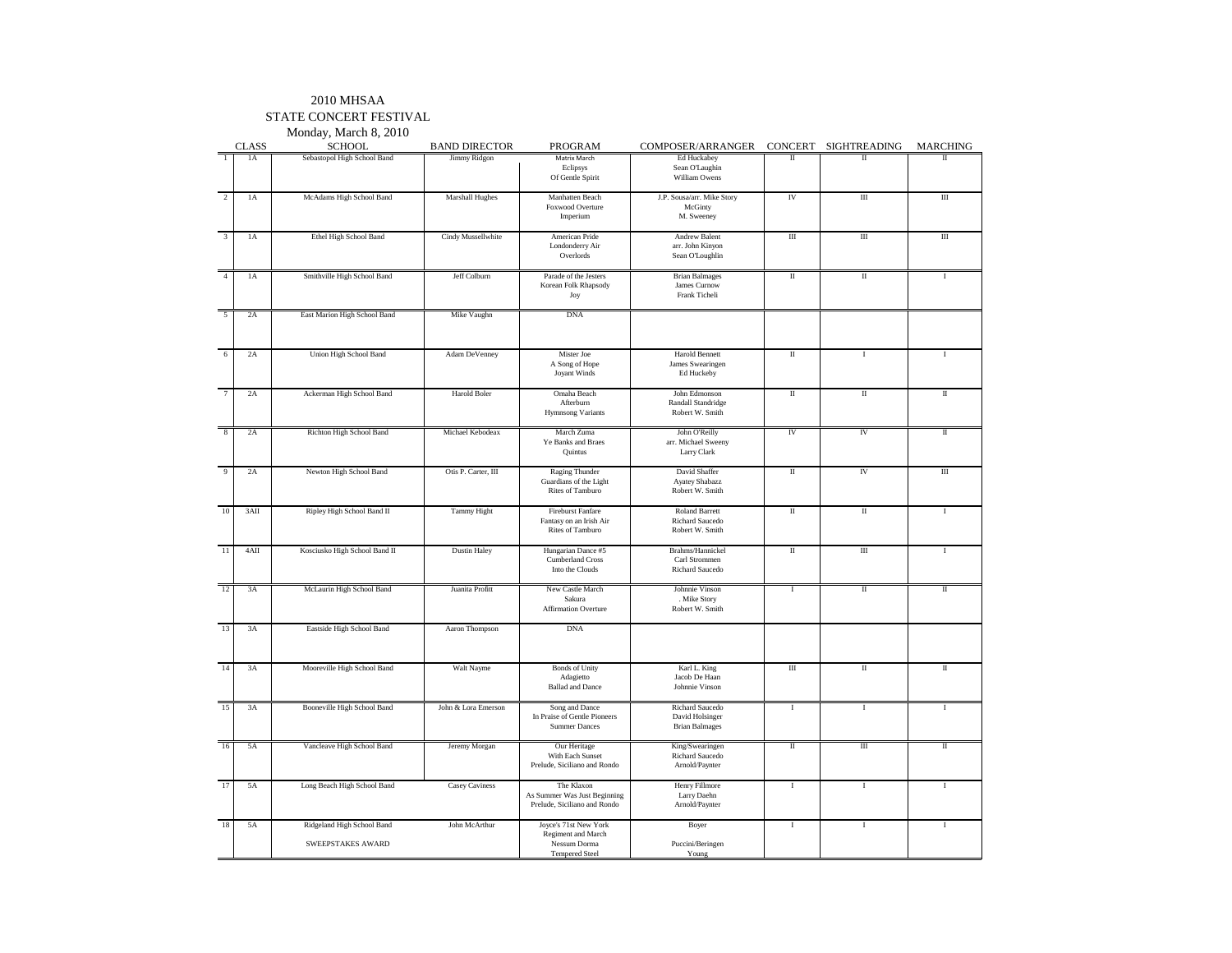#### STATE CONCERT FESTIVAL

Monday, March 8, 2010CLASS SCHOOL BAND DIRECTOR PROGRAM COMPOSER/ARRANGER CONCERT SIGHTREADING MARCHING<br>
1 14 Sebastopol High School Band Jimmy Ridgon Matrix March | Ed Huckabey | II | I | I | I Sebastopol High School Band Matrix March Ed Huckabey II II II Eclipsys Sean O'Laughin<br>
Of Gentle Spirit William Owens Of Gentle Spirit William Owens1A McAdams High School Band Marshall Hughes Manhatten Beach J.P. Sousa/arr. Mike Story IV III II III III III Foxwood Overture<br>Imperium Imperium M. Sweeney 3 1A Ethel High School Band | Cindy Mussellwhite | American Pride | Andrew Balent | III | III | III | III Londonderry Air arr. John Kinyon<br>Overlords Sean O'Loughlin Overlords Sean O'Loughlin1A Smithville High School Band Jeff Colburn Parade of the Jesters Brian Balmages II II I<br>Korean Folk Rhapsody James Curnow James Curnow Korean Folk Rhapsody<br>Joy Joy Frank Ticheli2A East Marion High School Band Mike Vaughn DNA 6 2A Union High School Band Adam DeVenney Mister Joe Harold Bennett II I IA Song of Hope James Swearing<br>Jovant Winds Ed Huckeby Joyant Winds 7 2A Ackerman High School Band Harold Boler Omaha BeachJohn Edmonson II II II II II Randall Standridge Robert W. Smith Hymnsong Variants 8 2A Richton High School Band Michael Kebodeax March Zuma John O'Reilly IV IV IV II<br>Ye Banks and Braes arr. Michael Sweeny anks and Braes arr. Michael Sweeny<br>
Quintus Larry Clark Larry Clark 9 2A Newton High School Band Otis P. Carter, III Raging Thunder David Shaffer II IV III<br>Guardians of the Light Ayatey Shabazz Raging Thunder<br>Guardians of the Light<br>Rites of Tamburo Rites of Tamburo **Robert W. Smith** 10 3AII Ripley High School Band II Tammy Hight Fireburst Fanfare Roland Barrett II II II II II Fantasy on an Irish Air Richard Saucedo Robert W. Smith Rites of Tamburo 11 4AII Kosciusko High School Band II Dustin Haley Hungarian Dance #5 Brahms/Hannickel II II II II I<br>Cumberland Cross Carl Strommen Cumberland Cross<br>Into the Clouds Into the Clouds Richard Saucedo 12 3A McLaurin High School Band Juanita Profitt New Castle March Johnnie Vinson I I II II II II II II II II II<br>Sakura Mike Story . Mike Story Robert W. Smith Affirmation Overture 13 3A Eastside High School Band Aaron Thompson DNA 14 3A Mooreville High School Band Walt Nayme Bonds of Unity Karl L. King II II II II II II II II II II II II I<br>Adaciento Adagietto Jacob De Haan<br>Ballad and Dance Johnnie Vinson **Johnnie Vinson** 15 3A Booneville High School Band John & Lora Emerson Song and Dance Richard Saucedo I I I I I I I I I I I I I<br>In Praise of Gentle Pioneers David Holsinger In Praise of Gentle Pioneers **Brian Balmages** Summer Dances 16 5A Vancleave High School Band Jeremy Morgan Our Heritage King/Swearingen II II II II II<br>With Each Sunset Richard Saucedo With Each Sunset Arnold/Paynter Prelude, Siciliano and Rondo 17 5A Long Beach High School Band Casey Caviness The Klaxon Henry Fillmore I I I I I I I I I I I I I I I I I I As Summer Was Just Beginning Arnold/Paynter Prelude, Siciliano and Rondo 18 5A Ridgeland High School Band John McArthur Joyce's 71st New York Boyer I I I I I Regiment and March<br>Nessum Dorma SWEEPSTAKES AWARDNessum Dorma Puccini/Beringen

Tempered Steel Young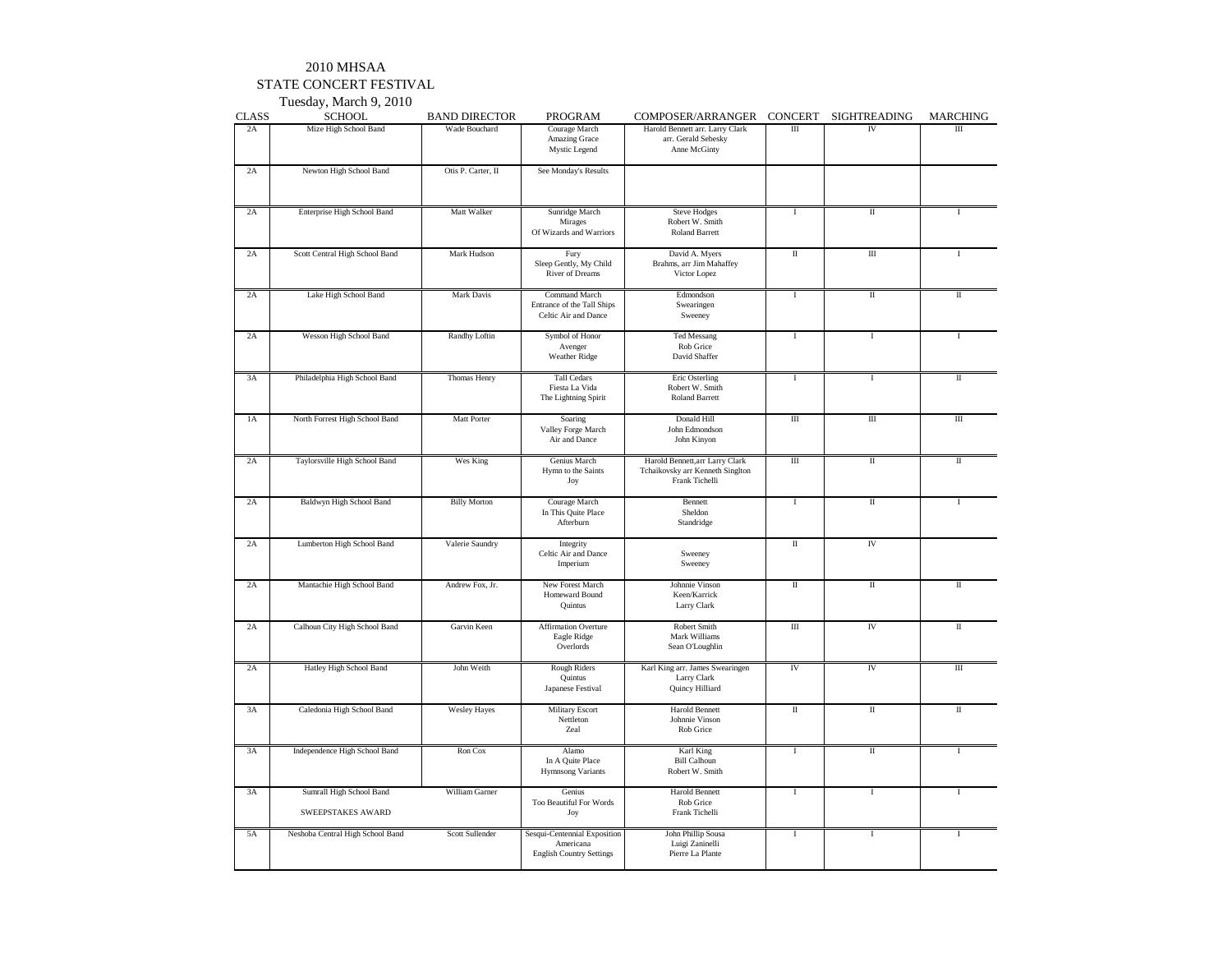#### STATE CONCERT FESTIVAL

Tuesday, March 9, 2010

| <b>CLASS</b>  | <b>SCHOOL</b>                                 | <b>BAND DIRECTOR</b> | PROGRAM                                                                      | COMPOSER/ARRANGER                                                                     | <b>CONCERT</b>       | SIGHTREADING            | <b>MARCHING</b>         |
|---------------|-----------------------------------------------|----------------------|------------------------------------------------------------------------------|---------------------------------------------------------------------------------------|----------------------|-------------------------|-------------------------|
| 2A            | Mize High School Band                         | Wade Bouchard        | Courage March<br>Amazing Grace<br>Mystic Legend                              | Harold Bennett arr. Larry Clark<br>arr. Gerald Sebesky<br>Anne McGinty                | Ш                    | IV                      | $\rm III$               |
| 2A            | Newton High School Band                       | Otis P. Carter, II   | See Monday's Results                                                         |                                                                                       |                      |                         |                         |
| 2A            | Enterprise High School Band                   | Matt Walker          | Sunridge March<br>Mirages<br>Of Wizards and Warriors                         | <b>Steve Hodges</b><br>Robert W. Smith<br><b>Roland Barrett</b>                       | Ι                    | Π                       | $\mathbf{I}$            |
| 2A            | Scott Central High School Band                | Mark Hudson          | Fury<br>Sleep Gently, My Child<br>River of Dreams                            | David A. Myers<br>Brahms, arr Jim Mahaffey<br>Victor Lopez                            | Π                    | Ш                       |                         |
| 2A            | Lake High School Band                         | Mark Davis           | Command March<br>Entrance of the Tall Ships<br>Celtic Air and Dance          | Edmondson<br>Swearingen<br>Sweeney                                                    | T                    | $\scriptstyle\rm II$    | Π                       |
| 2A            | Wesson High School Band                       | Randhy Loftin        | Symbol of Honor<br>Avenger<br>Weather Ridge                                  | <b>Ted Messang</b><br>Rob Grice<br>David Shaffer                                      | T                    | Ι                       |                         |
| 3A            | Philadelphia High School Band                 | Thomas Henry         | <b>Tall Cedars</b><br>Fiesta La Vida<br>The Lightning Spirit                 | Eric Osterling<br>Robert W. Smith<br><b>Roland Barrett</b>                            | I                    | Ι                       | Π                       |
| 1A            | North Forrest High School Band                | Matt Porter          | Soaring<br>Valley Forge March<br>Air and Dance                               | Donald Hill<br>John Edmondson<br>John Kinyon                                          | $\rm III$            | $\rm III$               | $\rm III$               |
| $2\mathrm{A}$ | Taylorsville High School Band                 | Wes King             | Genius March<br>Hymn to the Saints<br>Joy                                    | Harold Bennett, arr Larry Clark<br>Tchaikovsky arr Kenneth Singlton<br>Frank Tichelli | $\overline{m}$       | $\overline{\mathbf{u}}$ | $\overline{\mathbb{I}}$ |
| 2A            | Baldwyn High School Band                      | <b>Billy Morton</b>  | Courage March<br>In This Quite Place<br>Afterburn                            | Bennett<br>Sheldon<br>Standridge                                                      | 1                    | $\rm II$                | $\mathbf{I}$            |
| 2A            | Lumberton High School Band                    | Valerie Saundry      | Integrity<br>Celtic Air and Dance<br>Imperium                                | Sweeney<br>Sweeney                                                                    | $\scriptstyle\rm II$ | IV                      |                         |
| 2A            | Mantachie High School Band                    | Andrew Fox, Jr.      | New Forest March<br>Homeward Bound<br>Quintus                                | Johnnie Vinson<br>Keen/Karrick<br>Larry Clark                                         | $\scriptstyle\rm II$ | $\rm II$                | П                       |
| 2A            | Calhoun City High School Band                 | Garvin Keen          | Affirmation Overture<br>Eagle Ridge<br>Overlords                             | Robert Smith<br>Mark Williams<br>Sean O'Loughlin                                      | $\rm III$            | IV                      | П                       |
| 2A            | Hatley High School Band                       | John Weith           | <b>Rough Riders</b><br>Quintus<br>Japanese Festival                          | Karl King arr. James Swearingen<br>Larry Clark<br>Quincy Hilliard                     | IV                   | IV                      | $\rm III$               |
| 3A            | Caledonia High School Band                    | <b>Wesley Hayes</b>  | <b>Military Escort</b><br>Nettleton<br>Zeal                                  | <b>Harold Bennett</b><br>Johnnie Vinson<br>Rob Grice                                  | $\scriptstyle\rm II$ | $\rm II$                | $\scriptstyle\rm II$    |
| 3A            | Independence High School Band                 | Ron Cox              | Alamo<br>In A Quite Place<br><b>Hymnsong Variants</b>                        | Karl King<br><b>Bill Calhoun</b><br>Robert W. Smith                                   | 1                    | $\rm II$                | $\mathbf{I}$            |
| 3A            | Sumrall High School Band<br>SWEEPSTAKES AWARD | William Garner       | Genius<br>Too Beautiful For Words<br>Joy                                     | <b>Harold Bennett</b><br>Rob Grice<br>Frank Tichelli                                  | $\bf I$              | $\bf I$                 | $\mathbf{I}$            |
| 5A            | Neshoba Central High School Band              | Scott Sullender      | Sesqui-Centennial Exposition<br>Americana<br><b>English Country Settings</b> | John Phillip Sousa<br>Luigi Zaninelli<br>Pierre La Plante                             | $\rm I$              | $\bf I$                 | $\mathbf{I}$            |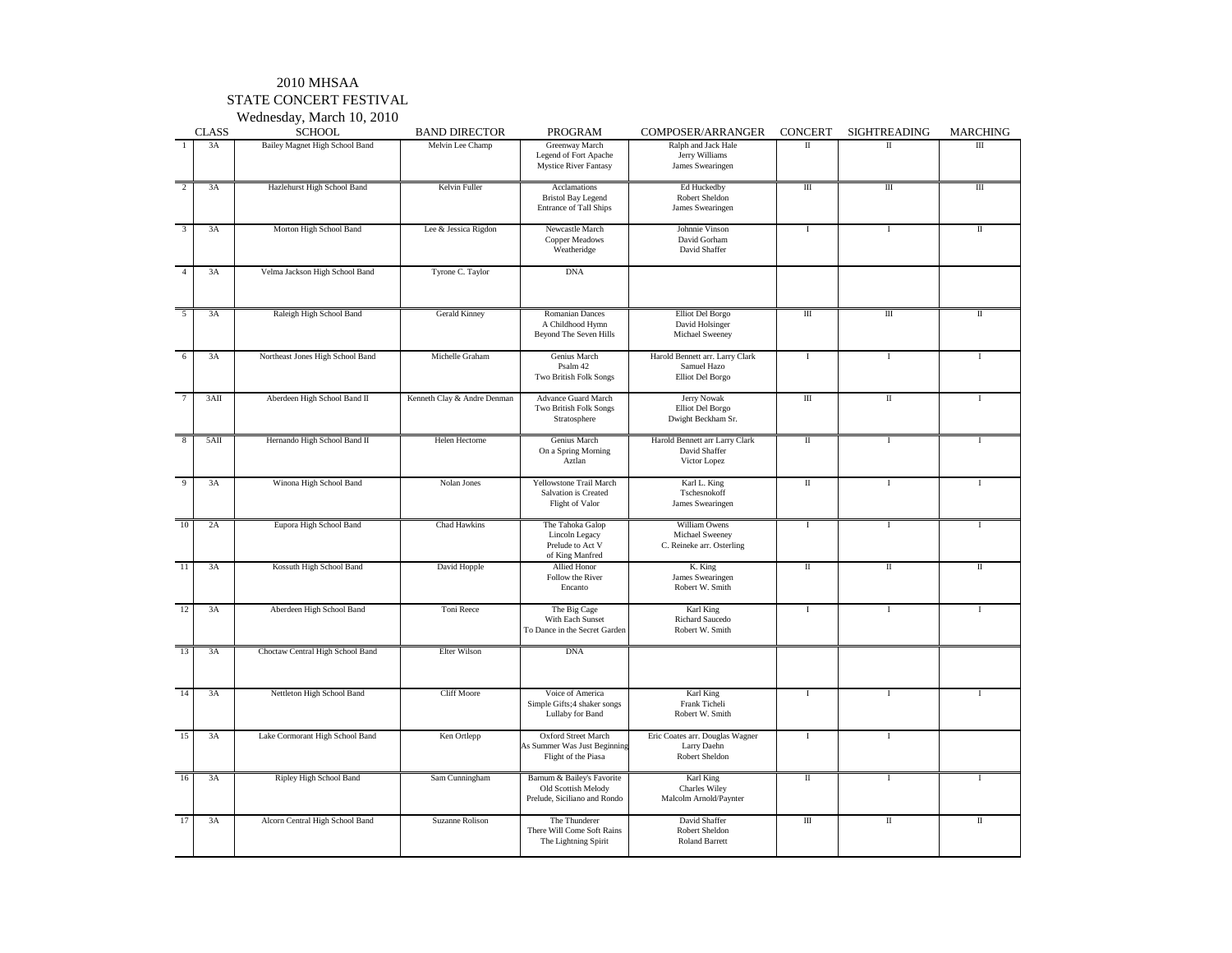#### STATE CONCERT FESTIVAL

|                         |              | Wednesday, March 10, 2010        |                             |                                                                                   |                                                                    |                      |                                    |                         |
|-------------------------|--------------|----------------------------------|-----------------------------|-----------------------------------------------------------------------------------|--------------------------------------------------------------------|----------------------|------------------------------------|-------------------------|
|                         | <b>CLASS</b> | <b>SCHOOL</b>                    | <b>BAND DIRECTOR</b>        | PROGRAM                                                                           | COMPOSER/ARRANGER                                                  | <b>CONCERT</b>       | <b>SIGHTREADING</b>                | <b>MARCHING</b>         |
| $\mathbf{1}$            | 3A           | Bailey Magnet High School Band   | Melvin Lee Champ            | Greenway March<br>Legend of Fort Apache<br><b>Mystice River Fantasy</b>           | Ralph and Jack Hale<br>Jerry Williams<br>James Swearingen          | $\Pi$                | $\scriptstyle\rm II$               | IΠ                      |
| $\overline{2}$          | 3A           | Hazlehurst High School Band      | Kelvin Fuller               | Acclamations<br><b>Bristol Bay Legend</b><br><b>Entrance of Tall Ships</b>        | Ed Huckedby<br>Robert Sheldon<br>James Swearingen                  | $\rm III$            | $\overline{m}$                     | Ш                       |
| $\overline{\mathbf{3}}$ | 3A           | Morton High School Band          | Lee & Jessica Rigdon        | Newcastle March<br>Copper Meadows<br>Weatheridge                                  | Johnnie Vinson<br>David Gorham<br>David Shaffer                    | <b>I</b>             | $\bf{I}$                           | $\overline{\mathbf{u}}$ |
| $\overline{4}$          | 3A           | Velma Jackson High School Band   | Tyrone C. Taylor            | <b>DNA</b>                                                                        |                                                                    |                      |                                    |                         |
| $\overline{5}$          | 3A           | Raleigh High School Band         | Gerald Kinney               | <b>Romanian Dances</b><br>A Childhood Hymn<br>Beyond The Seven Hills              | <b>Elliot</b> Del Borgo<br>David Holsinger<br>Michael Sweeney      | $\overline{m}$       | $\overline{III}$                   | $\overline{\mathbf{u}}$ |
| 6                       | 3A           | Northeast Jones High School Band | Michelle Graham             | Genius March<br>Psalm 42<br><b>Two British Folk Songs</b>                         | Harold Bennett arr. Larry Clark<br>Samuel Hazo<br>Elliot Del Borgo | $\mathbf{I}$         | I                                  | T                       |
| $\overline{7}$          | 3AII         | Aberdeen High School Band II     | Kenneth Clay & Andre Denman | <b>Advance Guard March</b><br>Two British Folk Songs<br>Stratosphere              | Jerry Nowak<br>Elliot Del Borgo<br>Dwight Beckham Sr.              | $\overline{m}$       | $\overline{\mathbf{I}}$            | $\mathbf I$             |
| 8                       | 5AII         | Hernando High School Band II     | Helen Hectorne              | Genius March<br>On a Spring Morning<br>Aztlan                                     | Harold Bennett arr Larry Clark<br>David Shaffer<br>Victor Lopez    | $\rm{II}$            | $\mathbf{I}$                       | $\mathbf{I}$            |
| 9                       | 3A           | Winona High School Band          | Nolan Jones                 | Yellowstone Trail March<br>Salvation is Created<br>Flight of Valor                | Karl L. King<br>Tschesnokoff<br>James Swearingen                   | $\scriptstyle\rm II$ | $\mathbf I$                        | $\mathbf{I}$            |
| 10                      | 2A           | Eupora High School Band          | Chad Hawkins                | The Tahoka Galop<br>Lincoln Legacy<br>Prelude to Act V<br>of King Manfred         | William Owens<br>Michael Sweeney<br>C. Reineke arr. Osterling      | $\bf I$              | $\bf{I}$                           | I                       |
| 11                      | 3A           | Kossuth High School Band         | David Hopple                | Allied Honor<br>Follow the River<br>Encanto                                       | K. King<br>James Swearingen<br>Robert W. Smith                     | П                    | $\rm{II}$                          | $\rm II$                |
| 12                      | 3A           | Aberdeen High School Band        | Toni Reece                  | The Big Cage<br>With Each Sunset<br>To Dance in the Secret Garden                 | Karl King<br><b>Richard Saucedo</b><br>Robert W. Smith             | $\mathbf{I}$         | 1                                  | T                       |
| 13                      | 3A           | Choctaw Central High School Band | Elter Wilson                | <b>DNA</b>                                                                        |                                                                    |                      |                                    |                         |
| 14                      | 3A           | Nettleton High School Band       | <b>Cliff Moore</b>          | Voice of America<br>Simple Gifts; 4 shaker songs<br>Lullaby for Band              | Karl King<br>Frank Ticheli<br>Robert W. Smith                      | $\mathbf{I}$         | $\mathbf{I}$                       | L                       |
| 15                      | 3A           | Lake Cormorant High School Band  | Ken Ortlepp                 | Oxford Street March<br>As Summer Was Just Beginning<br>Flight of the Piasa        | Eric Coates arr. Douglas Wagner<br>Larry Daehn<br>Robert Sheldon   | -1                   | 1                                  |                         |
| 16                      | 3A           | Ripley High School Band          | Sam Cunningham              | Barnum & Bailey's Favorite<br>Old Scottish Melody<br>Prelude, Siciliano and Rondo | Karl King<br><b>Charles Wiley</b><br>Malcolm Arnold/Paynter        | $\scriptstyle\rm II$ | $\bf{I}$                           | $\mathbf{I}$            |
| 17                      | 3A           | Alcorn Central High School Band  | Suzanne Rolison             | The Thunderer<br>There Will Come Soft Rains<br>The Lightning Spirit               | David Shaffer<br>Robert Sheldon<br><b>Roland Barrett</b>           | $\rm III$            | $\overline{\rm{I\hspace{-.1em}I}}$ | $\rm II$                |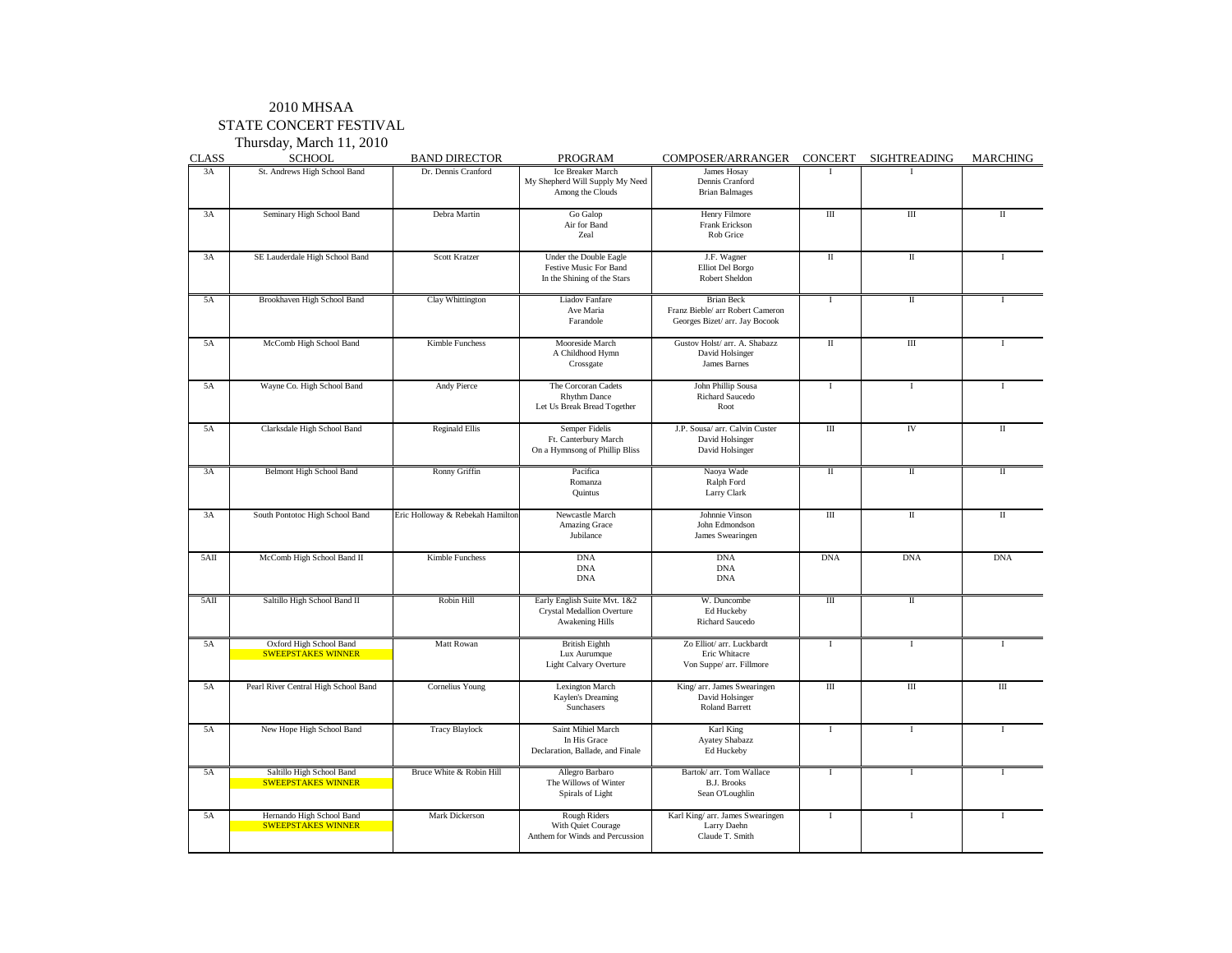#### STATE CONCERT FESTIVAL

Thursday, March 11, 2010

| <b>CLASS</b> | <b>SCHOOL</b>                                          | <b>BAND DIRECTOR</b>             | PROGRAM                                                                                     | COMPOSER/ARRANGER                                                                       | CONCERT     | SIGHTREADING | <b>MARCHING</b> |
|--------------|--------------------------------------------------------|----------------------------------|---------------------------------------------------------------------------------------------|-----------------------------------------------------------------------------------------|-------------|--------------|-----------------|
| 3A           | St. Andrews High School Band                           | Dr. Dennis Cranford              | Ice Breaker March<br>My Shepherd Will Supply My Need<br>Among the Clouds                    | James Hosay<br>Dennis Cranford<br><b>Brian Balmages</b>                                 | $\mathbf I$ |              |                 |
| 3A           | Seminary High School Band                              | Debra Martin                     | Go Galop<br>Air for Band<br>Zeal                                                            | Henry Filmore<br>Frank Erickson<br>Rob Grice                                            | Ш           | Ш            | П               |
| 3A           | SE Lauderdale High School Band                         | <b>Scott Kratzer</b>             | Under the Double Eagle<br>Festive Music For Band<br>In the Shining of the Stars             | J.F. Wagner<br>Elliot Del Borgo<br>Robert Sheldon                                       | $\rm II$    | $\rm II$     | 1               |
| 5A           | Brookhaven High School Band                            | Clay Whittington                 | Liadov Fanfare<br>Ave Maria<br>Farandole                                                    | <b>Brian Beck</b><br>Franz Bieble/ arr Robert Cameron<br>Georges Bizet/ arr. Jay Bocook | $\mathbf I$ | $\mathbf{I}$ | T               |
| 5A           | McComb High School Band                                | Kimble Funchess                  | Mooreside March<br>A Childhood Hymn<br>Crossgate                                            | Gustov Holst/ arr. A. Shabazz<br>David Holsinger<br>James Barnes                        | $\rm{II}$   | $\rm III$    | $\mathbf I$     |
| 5A           | Wayne Co. High School Band                             | Andy Pierce                      | The Corcoran Cadets<br><b>Rhythm Dance</b><br>Let Us Break Bread Together                   | John Phillip Sousa<br>Richard Saucedo<br>Root                                           | $\rm I$     | $\rm I$      | $\mathbf I$     |
| 5A           | Clarksdale High School Band                            | <b>Reginald Ellis</b>            | Semper Fidelis<br>Ft. Canterbury March<br>On a Hymnsong of Phillip Bliss                    | J.P. Sousa/ arr. Calvin Custer<br>David Holsinger<br>David Holsinger                    | Ш           | IV           | П               |
| 3A           | Belmont High School Band                               | Ronny Griffin                    | Pacifica<br>Romanza<br>Quintus                                                              | Naoya Wade<br>Ralph Ford<br>Larry Clark                                                 | $\rm II$    | $\;$ II      | $\rm II$        |
| 3A           | South Pontotoc High School Band                        | Eric Holloway & Rebekah Hamilton | Newcastle March<br>Amazing Grace<br>Jubilance                                               | Johnnie Vinson<br>John Edmondson<br>James Swearingen                                    | Ш           | $\rm II$     | $_{\rm II}$     |
| 5AII         | McComb High School Band II                             | <b>Kimble Funchess</b>           | <b>DNA</b><br><b>DNA</b><br><b>DNA</b>                                                      | <b>DNA</b><br><b>DNA</b><br><b>DNA</b>                                                  | <b>DNA</b>  | <b>DNA</b>   | <b>DNA</b>      |
| 5AII         | Saltillo High School Band II                           | Robin Hill                       | Early English Suite Mvt. 1&2<br><b>Crystal Medallion Overture</b><br><b>Awakening Hills</b> | W. Duncombe<br>Ed Huckeby<br>Richard Saucedo                                            | Ш           | $\rm II$     |                 |
| 5A           | Oxford High School Band<br><b>SWEEPSTAKES WINNER</b>   | Matt Rowan                       | <b>British Eighth</b><br>Lux Aurumque<br><b>Light Calvary Overture</b>                      | Zo Elliot/ arr. Luckbardt<br>Eric Whitacre<br>Von Suppe/ arr. Fillmore                  | $\bf{I}$    | Ι.           | Т               |
| 5A           | Pearl River Central High School Band                   | Cornelius Young                  | Lexington March<br>Kaylen's Dreaming<br>Sunchasers                                          | King/ arr. James Swearingen<br>David Holsinger<br><b>Roland Barrett</b>                 | Ш           | $\rm III$    | $\rm III$       |
| 5A           | New Hope High School Band                              | <b>Tracy Blaylock</b>            | Saint Mihiel March<br>In His Grace<br>Declaration, Ballade, and Finale                      | Karl King<br><b>Ayatey Shabazz</b><br>Ed Huckeby                                        | $\bf{I}$    | $\bf{I}$     | T               |
| 5A           | Saltillo High School Band<br><b>SWEEPSTAKES WINNER</b> | Bruce White & Robin Hill         | Allegro Barbaro<br>The Willows of Winter<br>Spirals of Light                                | Bartok/ arr. Tom Wallace<br><b>B.J. Brooks</b><br>Sean O'Loughlin                       | $\mathbf I$ | $\mathbf I$  | $\mathbf{I}$    |
| 5A           | Hernando High School Band<br><b>SWEEPSTAKES WINNER</b> | Mark Dickerson                   | Rough Riders<br>With Quiet Courage<br>Anthem for Winds and Percussion                       | Karl King/ arr. James Swearingen<br>Larry Daehn<br>Claude T. Smith                      | $\rm I$     | $\mathbf I$  | $\mathbf I$     |